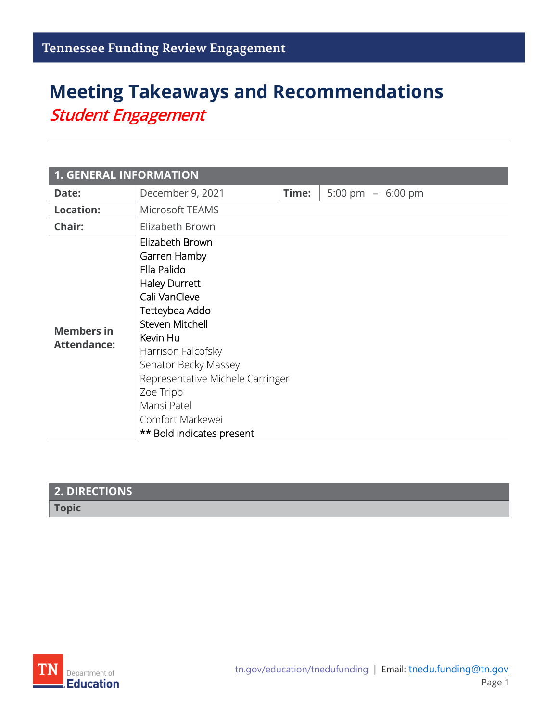# **Meeting Takeaways and Recommendations** *Student Engagement*

| <b>1. GENERAL INFORMATION</b>           |                                                                                                                                                                                                                                                                                                                |       |                   |  |  |
|-----------------------------------------|----------------------------------------------------------------------------------------------------------------------------------------------------------------------------------------------------------------------------------------------------------------------------------------------------------------|-------|-------------------|--|--|
| Date:                                   | December 9, 2021                                                                                                                                                                                                                                                                                               | Time: | 5:00 pm - 6:00 pm |  |  |
| <b>Location:</b>                        | Microsoft TEAMS                                                                                                                                                                                                                                                                                                |       |                   |  |  |
| Chair:                                  | Elizabeth Brown                                                                                                                                                                                                                                                                                                |       |                   |  |  |
| <b>Members in</b><br><b>Attendance:</b> | Elizabeth Brown<br>Garren Hamby<br>Ella Palido<br><b>Haley Durrett</b><br>Cali VanCleve<br>Tetteybea Addo<br>Steven Mitchell<br>Kevin Hu<br>Harrison Falcofsky<br>Senator Becky Massey<br>Representative Michele Carringer<br>Zoe Tripp<br>Mansi Patel<br>Comfort Markewei<br><b>** Bold indicates present</b> |       |                   |  |  |

| <b>2. DIRECTIONS</b> |  |
|----------------------|--|
| <b>Topic</b>         |  |
|                      |  |

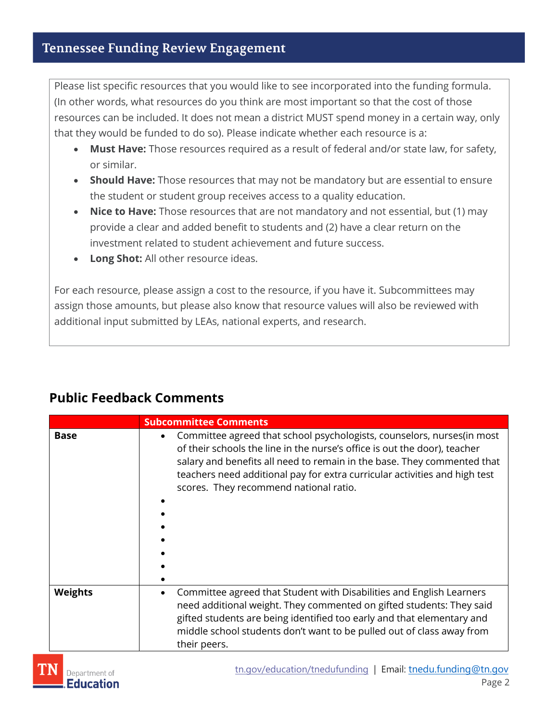Please list specific resources that you would like to see incorporated into the funding formula. (In other words, what resources do you think are most important so that the cost of those resources can be included. It does not mean a district MUST spend money in a certain way, only that they would be funded to do so). Please indicate whether each resource is a:

- **Must Have:** Those resources required as a result of federal and/or state law, for safety, or similar.
- **Should Have:** Those resources that may not be mandatory but are essential to ensure the student or student group receives access to a quality education.
- **Nice to Have:** Those resources that are not mandatory and not essential, but (1) may provide a clear and added benefit to students and (2) have a clear return on the investment related to student achievement and future success.
- **Long Shot:** All other resource ideas.

For each resource, please assign a cost to the resource, if you have it. Subcommittees may assign those amounts, but please also know that resource values will also be reviewed with additional input submitted by LEAs, national experts, and research.

|                | <b>Subcommittee Comments</b>                                                                                                                                                                                                                                                                                                                                         |
|----------------|----------------------------------------------------------------------------------------------------------------------------------------------------------------------------------------------------------------------------------------------------------------------------------------------------------------------------------------------------------------------|
| <b>Base</b>    | Committee agreed that school psychologists, counselors, nurses (in most<br>$\bullet$<br>of their schools the line in the nurse's office is out the door), teacher<br>salary and benefits all need to remain in the base. They commented that<br>teachers need additional pay for extra curricular activities and high test<br>scores. They recommend national ratio. |
| <b>Weights</b> | Committee agreed that Student with Disabilities and English Learners<br>٠<br>need additional weight. They commented on gifted students: They said<br>gifted students are being identified too early and that elementary and<br>middle school students don't want to be pulled out of class away from<br>their peers.                                                 |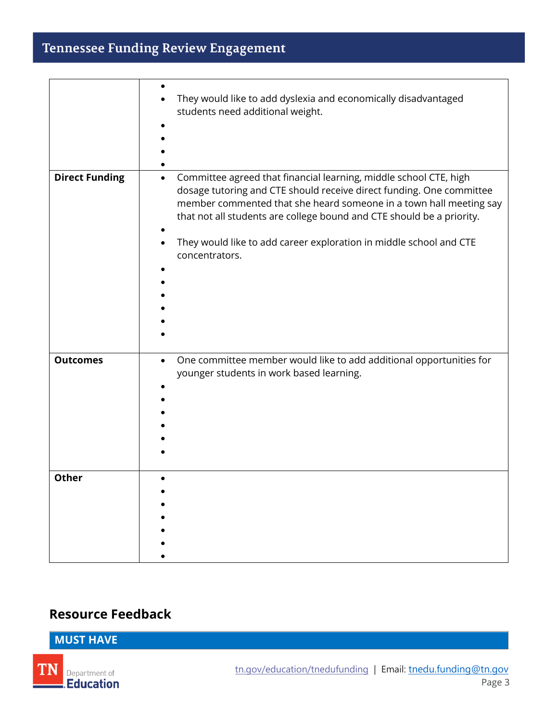### Tennessee Funding Review Engagement

|                       | They would like to add dyslexia and economically disadvantaged<br>students need additional weight.                                                                                                                                                                                                                                                                                            |
|-----------------------|-----------------------------------------------------------------------------------------------------------------------------------------------------------------------------------------------------------------------------------------------------------------------------------------------------------------------------------------------------------------------------------------------|
| <b>Direct Funding</b> | Committee agreed that financial learning, middle school CTE, high<br>$\bullet$<br>dosage tutoring and CTE should receive direct funding. One committee<br>member commented that she heard someone in a town hall meeting say<br>that not all students are college bound and CTE should be a priority.<br>They would like to add career exploration in middle school and CTE<br>concentrators. |
| <b>Outcomes</b>       | One committee member would like to add additional opportunities for<br>$\bullet$<br>younger students in work based learning.                                                                                                                                                                                                                                                                  |
| <b>Other</b>          |                                                                                                                                                                                                                                                                                                                                                                                               |

#### **Resource Feedback**

#### **MUST HAVE**